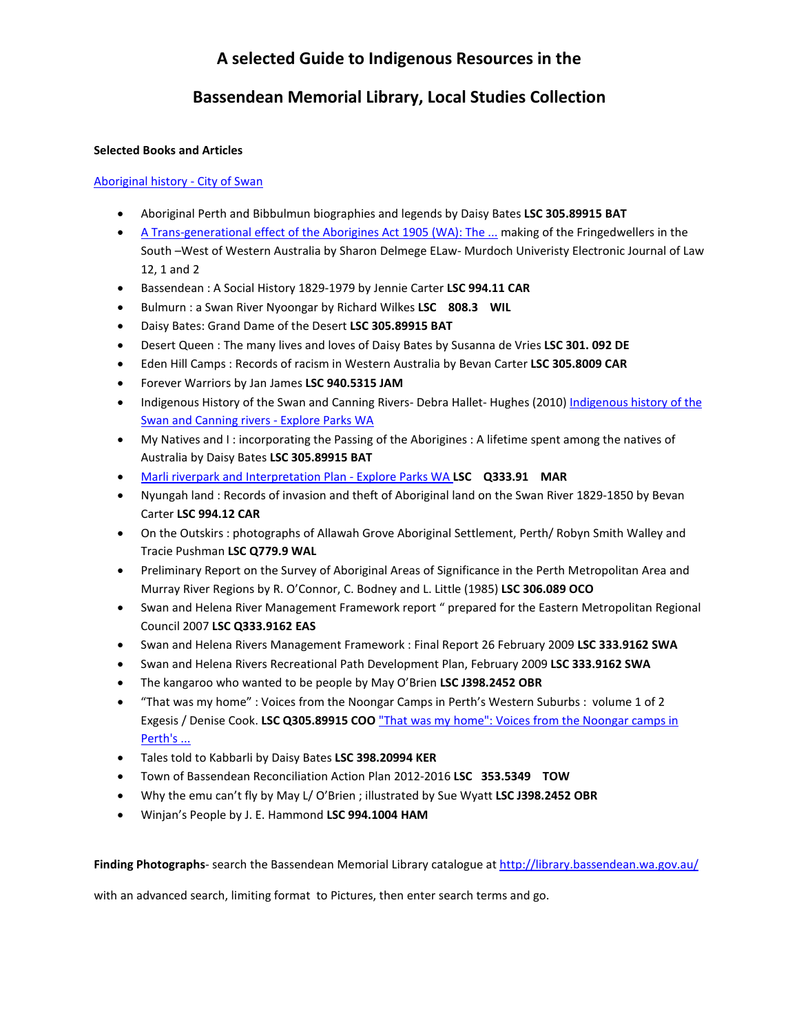# **A selected Guide to Indigenous Resources in the**

## **Bassendean Memorial Library, Local Studies Collection**

## **Selected Books and Articles**

## [Aboriginal history -](https://www.swan.wa.gov.au/In-around-Swan/History-arts-culture/Aboriginal-history) City of Swan

- Aboriginal Perth and Bibbulmun biographies and legends by Daisy Bates **LSC 305.89915 BAT**
- [A Trans-generational effect of the Aborigines Act 1905 \(WA\): The ...](http://researchrepository.murdoch.edu.au/9573/) making of the Fringedwellers in the South –West of Western Australia by Sharon Delmege ELaw- Murdoch Univeristy Electronic Journal of Law 12, 1 and 2
- Bassendean : A Social History 1829-1979 by Jennie Carter **LSC 994.11 CAR**
- Bulmurn : a Swan River Nyoongar by Richard Wilkes **LSC 808.3 WIL**
- Daisy Bates: Grand Dame of the Desert **LSC 305.89915 BAT**
- Desert Queen : The many lives and loves of Daisy Bates by Susanna de Vries **LSC 301. 092 DE**
- Eden Hill Camps : Records of racism in Western Australia by Bevan Carter **LSC 305.8009 CAR**
- Forever Warriors by Jan James **LSC 940.5315 JAM**
- Indigenous History of the Swan and Canning Rivers- Debra Hallet- Hughes (2010) Indigenous history of the [Swan and Canning rivers -](https://parks.dpaw.wa.gov.au/sites/default/files/downloads/parks/Indigenous%20history%20of%20the%20Swan%20and%20Canning%20rivers.pdf) Explore Parks WA
- My Natives and I : incorporating the Passing of the Aborigines : A lifetime spent among the natives of Australia by Daisy Bates **LSC 305.89915 BAT**
- [Marli riverpark and Interpretation Plan -](https://parks.dpaw.wa.gov.au/sites/default/files/downloads/parks/Marli%20River%20Park%20-%20An%20Interpretation%20Plan.pdf) Explore Parks WA **LSC Q333.91 MAR**
- Nyungah land : Records of invasion and theft of Aboriginal land on the Swan River 1829-1850 by Bevan Carter **LSC 994.12 CAR**
- On the Outskirs : photographs of Allawah Grove Aboriginal Settlement, Perth/ Robyn Smith Walley and Tracie Pushman **LSC Q779.9 WAL**
- Preliminary Report on the Survey of Aboriginal Areas of Significance in the Perth Metropolitan Area and Murray River Regions by R. O'Connor, C. Bodney and L. Little (1985) **LSC 306.089 OCO**
- Swan and Helena River Management Framework report " prepared for the Eastern Metropolitan Regional Council 2007 **LSC Q333.9162 EAS**
- Swan and Helena Rivers Management Framework : Final Report 26 February 2009 **LSC 333.9162 SWA**
- Swan and Helena Rivers Recreational Path Development Plan, February 2009 **LSC 333.9162 SWA**
- The kangaroo who wanted to be people by May O'Brien **LSC J398.2452 OBR**
- "That was my home" : Voices from the Noongar Camps in Perth's Western Suburbs : volume 1 of 2 Exgesis / Denise Cook. **LSC Q305.89915 COO** ["That was my home": Voices from the Noongar camps in](http://researchrepository.murdoch.edu.au/32328/)  [Perth's ...](http://researchrepository.murdoch.edu.au/32328/)
- Tales told to Kabbarli by Daisy Bates **LSC 398.20994 KER**
- Town of Bassendean Reconciliation Action Plan 2012-2016 **LSC 353.5349 TOW**
- Why the emu can't fly by May L/ O'Brien ; illustrated by Sue Wyatt **LSC J398.2452 OBR**
- Winjan's People by J. E. Hammond **LSC 994.1004 HAM**

**Finding Photographs**- search the Bassendean Memorial Library catalogue at<http://library.bassendean.wa.gov.au/>

with an advanced search, limiting format to Pictures, then enter search terms and go.